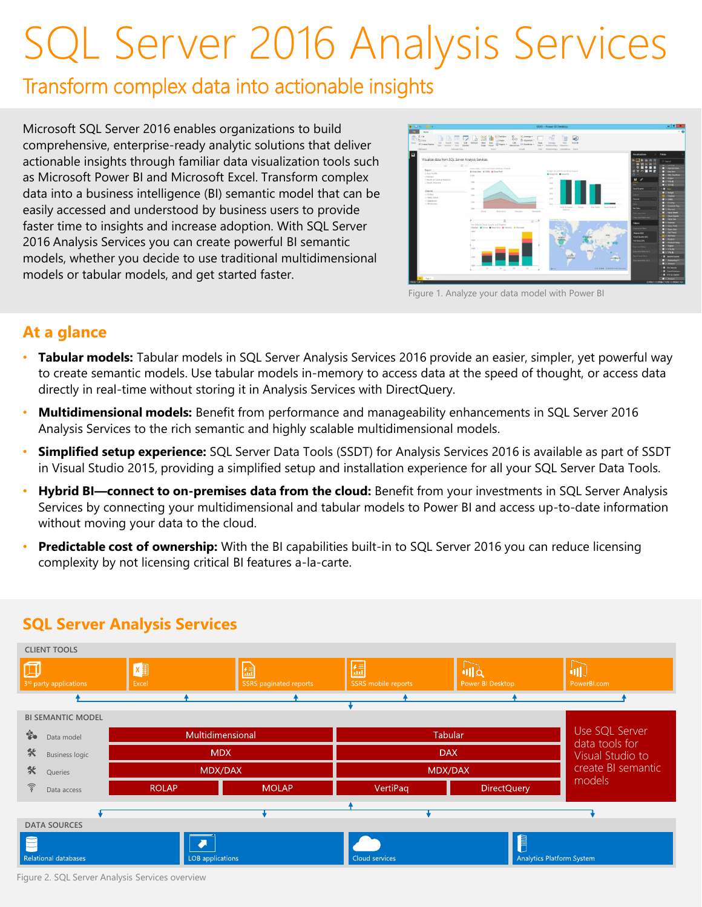# SQL Server 2016 Analysis Services

## Transform complex data into actionable insights

Microsoft SQL Server 2016 enables organizations to build comprehensive, enterprise-ready analytic solutions that deliver actionable insights through familiar data visualization tools such as Microsoft Power BI and Microsoft Excel. Transform complex data into a business intelligence (BI) semantic model that can be easily accessed and understood by business users to provide faster time to insights and increase adoption. With SQL Server 2016 Analysis Services you can create powerful BI semantic models, whether you decide to use traditional multidimensional models or tabular models, and get started faster.



Figure 1. Analyze your data model with Power BI

## **At a glance**

- **Tabular models:** Tabular models in SQL Server Analysis Services 2016 provide an easier, simpler, yet powerful way to create semantic models. Use tabular models in-memory to access data at the speed of thought, or access data directly in real-time without storing it in Analysis Services with DirectQuery.
- **Multidimensional models:** Benefit from performance and manageability enhancements in SQL Server 2016 Analysis Services to the rich semantic and highly scalable multidimensional models.
- **Simplified setup experience:** SQL Server Data Tools (SSDT) for Analysis Services 2016 is available as part of SSDT in Visual Studio 2015, providing a simplified setup and installation experience for all your SQL Server Data Tools.
- **Hybrid BI—connect to on-premises data from the cloud:** Benefit from your investments in SQL Server Analysis Services by connecting your multidimensional and tabular models to Power BI and access up-to-date information without moving your data to the cloud.
- **Predictable cost of ownership:** With the BI capabilities built-in to SQL Server 2016 you can reduce licensing complexity by not licensing critical BI features a-la-carte.



## **SQL Server Analysis Services**

Figure 2. SQL Server Analysis Services overview